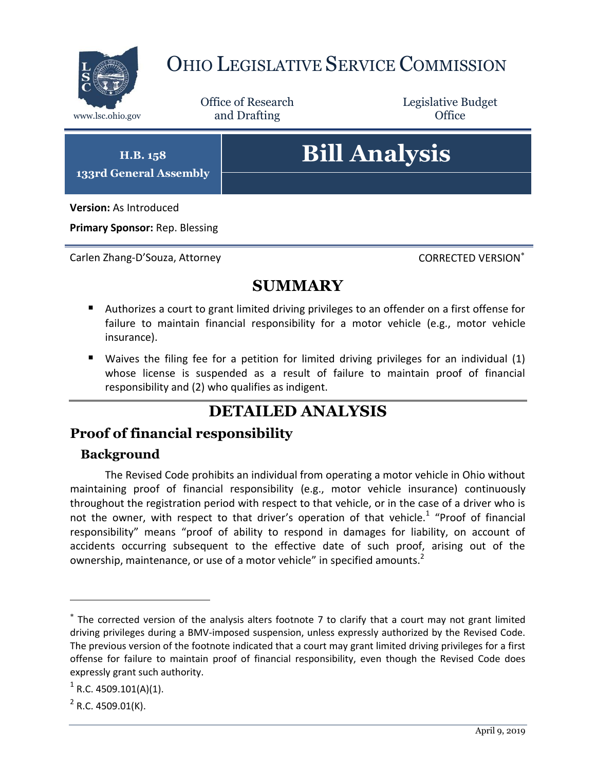

# OHIO LEGISLATIVE SERVICE COMMISSION

Office of Research www.lsc.ohio.gov and Drafting Control of Control of the Control of Control of the Control of Control of the Control of the Control of the Control of the Control of the Control of the Control of the Control of the Control o

Legislative Budget

**H.B. 158 133rd General Assembly**

# **Bill Analysis**

**Version:** As Introduced

**Primary Sponsor:** Rep. Blessing

Carlen Zhang-D'Souza, Attorney Controller CORRECTED VERSION<sup>\*</sup>

### **SUMMARY**

- Authorizes a court to grant limited driving privileges to an offender on a first offense for failure to maintain financial responsibility for a motor vehicle (e.g., motor vehicle insurance).
- Waives the filing fee for a petition for limited driving privileges for an individual (1) whose license is suspended as a result of failure to maintain proof of financial responsibility and (2) who qualifies as indigent.

## **DETAILED ANALYSIS**

#### **Proof of financial responsibility**

#### **Background**

The Revised Code prohibits an individual from operating a motor vehicle in Ohio without maintaining proof of financial responsibility (e.g., motor vehicle insurance) continuously throughout the registration period with respect to that vehicle, or in the case of a driver who is not the owner, with respect to that driver's operation of that vehicle.<sup>1</sup> "Proof of financial responsibility" means "proof of ability to respond in damages for liability, on account of accidents occurring subsequent to the effective date of such proof, arising out of the ownership, maintenance, or use of a motor vehicle" in specified amounts.<sup>2</sup>

 $\overline{a}$ 

The corrected version of the analysis alters footnote 7 to clarify that a court may not grant limited driving privileges during a BMV-imposed suspension, unless expressly authorized by the Revised Code. The previous version of the footnote indicated that a court may grant limited driving privileges for a first offense for failure to maintain proof of financial responsibility, even though the Revised Code does expressly grant such authority.

 $^1$  R.C. 4509.101(A)(1).

 $2$  R.C. 4509.01(K).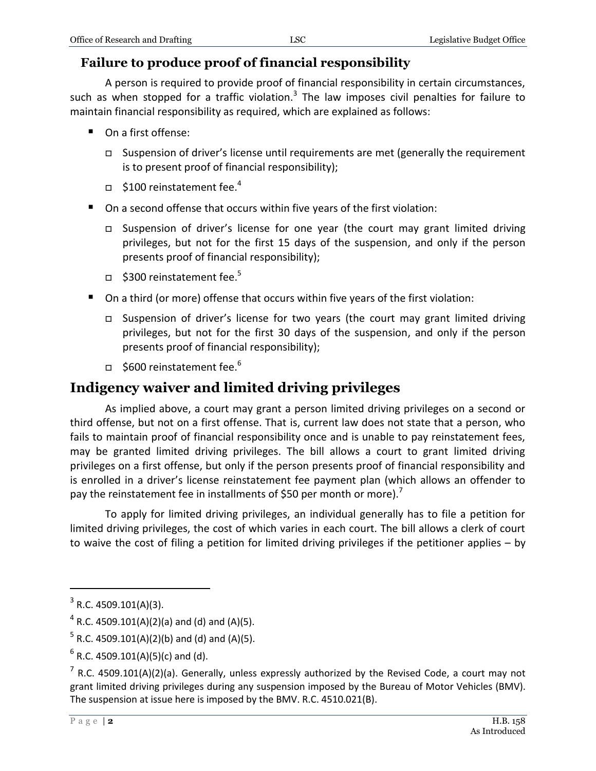#### **Failure to produce proof of financial responsibility**

A person is required to provide proof of financial responsibility in certain circumstances, such as when stopped for a traffic violation.<sup>3</sup> The law imposes civil penalties for failure to maintain financial responsibility as required, which are explained as follows:

- On a first offense:
	- $\Box$  Suspension of driver's license until requirements are met (generally the requirement is to present proof of financial responsibility);
	- $\Box$  \$100 reinstatement fee.<sup>4</sup>
- On a second offense that occurs within five years of the first violation:
	- Suspension of driver's license for one year (the court may grant limited driving privileges, but not for the first 15 days of the suspension, and only if the person presents proof of financial responsibility);
	- $\Box$  \$300 reinstatement fee.<sup>5</sup>
- On a third (or more) offense that occurs within five years of the first violation:
	- Suspension of driver's license for two years (the court may grant limited driving privileges, but not for the first 30 days of the suspension, and only if the person presents proof of financial responsibility);
	- $\Box$  \$600 reinstatement fee.<sup>6</sup>

#### **Indigency waiver and limited driving privileges**

As implied above, a court may grant a person limited driving privileges on a second or third offense, but not on a first offense. That is, current law does not state that a person, who fails to maintain proof of financial responsibility once and is unable to pay reinstatement fees, may be granted limited driving privileges. The bill allows a court to grant limited driving privileges on a first offense, but only if the person presents proof of financial responsibility and is enrolled in a driver's license reinstatement fee payment plan (which allows an offender to pay the reinstatement fee in installments of \$50 per month or more).<sup>7</sup>

To apply for limited driving privileges, an individual generally has to file a petition for limited driving privileges, the cost of which varies in each court. The bill allows a clerk of court to waive the cost of filing a petition for limited driving privileges if the petitioner applies – by

 $\overline{a}$ 

 $3$  R.C. 4509.101(A)(3).

 $^4$  R.C. 4509.101(A)(2)(a) and (d) and (A)(5).

 $^5$  R.C. 4509.101(A)(2)(b) and (d) and (A)(5).

 $^6$  R.C. 4509.101(A)(5)(c) and (d).

 $^7$  R.C. 4509.101(A)(2)(a). Generally, unless expressly authorized by the Revised Code, a court may not grant limited driving privileges during any suspension imposed by the Bureau of Motor Vehicles (BMV). The suspension at issue here is imposed by the BMV. R.C. 4510.021(B).